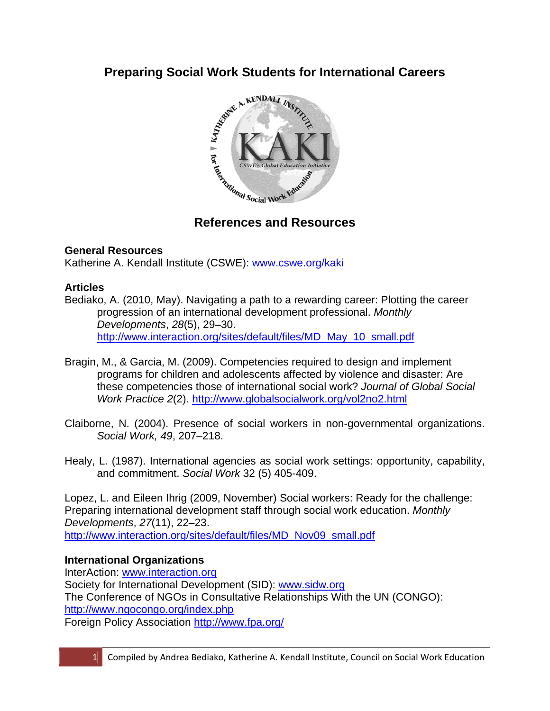

# **References and Resources**

# **General Resources**

Katherine A. Kendall Institute (CSWE): www.cswe.org/kaki

# **Articles**

Bediako, A. (2010, May). Navigating a path to a rewarding career: Plotting the career progression of an international development professional. *Monthly Developments*, *28*(5), 29–30. http://www.interaction.org/sites/default/files/MD\_May\_10\_small.pdf

- Bragin, M., & Garcia, M. (2009). Competencies required to design and implement programs for children and adolescents affected by violence and disaster: Are these competencies those of international social work? *Journal of Global Social Work Practice 2*(2). http://www.globalsocialwork.org/vol2no2.html
- Claiborne, N. (2004). Presence of social workers in non-governmental organizations. *Social Work, 49*, 207–218.
- Healy, L. (1987). International agencies as social work settings: opportunity, capability, and commitment. *Social Work* 32 (5) 405-409.

Lopez, L. and Eileen Ihrig (2009, November) Social workers: Ready for the challenge: Preparing international development staff through social work education. *Monthly Developments*, *27*(11), 22–23. http://www.interaction.org/sites/default/files/MD\_Nov09\_small.pdf

### **International Organizations**

InterAction: www.interaction.org Society for International Development (SID): www.sidw.org The Conference of NGOs in Consultative Relationships With the UN (CONGO): http://www.ngocongo.org/index.php Foreign Policy Association http://www.fpa.org/